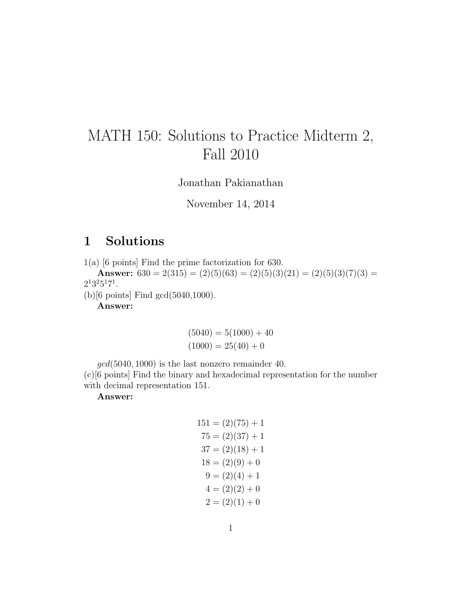## MATH 150: Solutions to Practice Midterm 2, Fall 2010

Jonathan Pakianathan

November 14, 2014

## 1 Solutions

1(a) [6 points] Find the prime factorization for 630.

Answer:  $630 = 2(315) = (2)(5)(63) = (2)(5)(3)(21) = (2)(5)(3)(7)(3) =$  $2^13^25^17^1$ .

(b)[6 points] Find gcd(5040,1000).

Answer:

$$
(5040) = 5(1000) + 40
$$

$$
(1000) = 25(40) + 0
$$

 $\gcd(5040, 1000)$  is the last nonzero remainder 40.

(c)[6 points] Find the binary and hexadecimal representation for the number with decimal representation 151.

Answer:

$$
151 = (2)(75) + 1
$$
  
\n
$$
75 = (2)(37) + 1
$$
  
\n
$$
37 = (2)(18) + 1
$$
  
\n
$$
18 = (2)(9) + 0
$$
  
\n
$$
9 = (2)(4) + 1
$$
  
\n
$$
4 = (2)(2) + 0
$$
  
\n
$$
2 = (2)(1) + 0
$$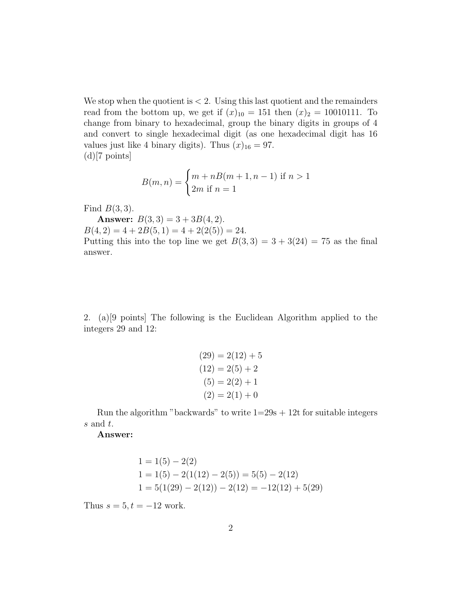We stop when the quotient is  $\lt 2$ . Using this last quotient and the remainders read from the bottom up, we get if  $(x)_{10} = 151$  then  $(x)_2 = 10010111$ . To change from binary to hexadecimal, group the binary digits in groups of 4 and convert to single hexadecimal digit (as one hexadecimal digit has 16 values just like 4 binary digits). Thus  $(x)_{16} = 97$ .  $(d)$ [7 points]

$$
B(m, n) = \begin{cases} m + nB(m + 1, n - 1) & \text{if } n > 1 \\ 2m & \text{if } n = 1 \end{cases}
$$

Find  $B(3,3)$ .

Answer:  $B(3,3) = 3 + 3B(4,2)$ .  $B(4, 2) = 4 + 2B(5, 1) = 4 + 2(2(5)) = 24.$ Putting this into the top line we get  $B(3,3) = 3 + 3(24) = 75$  as the final answer.

2. (a)[9 points] The following is the Euclidean Algorithm applied to the integers 29 and 12:

$$
(29) = 2(12) + 5
$$

$$
(12) = 2(5) + 2
$$

$$
(5) = 2(2) + 1
$$

$$
(2) = 2(1) + 0
$$

Run the algorithm "backwards" to write  $1=29s + 12t$  for suitable integers s and t.

Answer:

$$
1 = 1(5) - 2(2)
$$
  
\n
$$
1 = 1(5) - 2(1(12) - 2(5)) = 5(5) - 2(12)
$$
  
\n
$$
1 = 5(1(29) - 2(12)) - 2(12) = -12(12) + 5(29)
$$

Thus  $s = 5, t = -12$  work.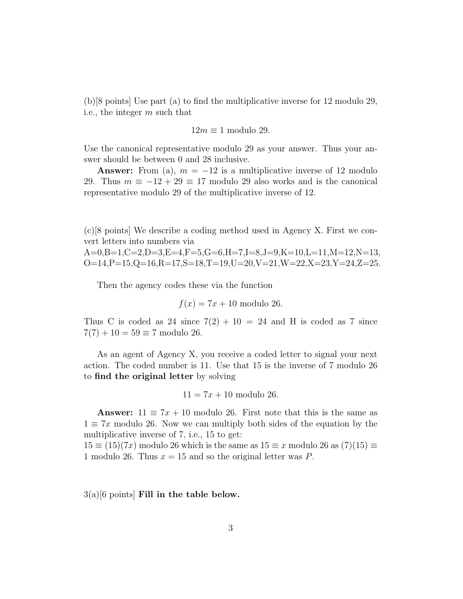(b)[8 points] Use part (a) to find the multiplicative inverse for 12 modulo 29, i.e., the integer m such that

$$
12m \equiv 1 \text{ modulo } 29.
$$

Use the canonical representative modulo 29 as your answer. Thus your answer should be between 0 and 28 inclusive.

**Answer:** From (a),  $m = -12$  is a multiplicative inverse of 12 modulo 29. Thus  $m \equiv -12 + 29 \equiv 17$  modulo 29 also works and is the canonical representative modulo 29 of the multiplicative inverse of 12.

(c)[8 points] We describe a coding method used in Agency X. First we convert letters into numbers via

 $A=0, B=1, C=2, D=3, E=4, F=5, G=6, H=7, I=8, J=9, K=10, L=11, M=12, N=13,$  $O=14, P=15, Q=16, R=17, S=18, T=19, U=20, V=21, W=22, X=23, Y=24, Z=25.$ 

Then the agency codes these via the function

$$
f(x) = 7x + 10
$$
 modulo 26.

Thus C is coded as 24 since  $7(2) + 10 = 24$  and H is coded as 7 since  $7(7) + 10 = 59 \equiv 7$  modulo 26.

As an agent of Agency X, you receive a coded letter to signal your next action. The coded number is 11. Use that 15 is the inverse of 7 modulo 26 to find the original letter by solving

$$
11 = 7x + 10
$$
 modulo 26.

**Answer:**  $11 \equiv 7x + 10$  modulo 26. First note that this is the same as  $1 \equiv 7x$  modulo 26. Now we can multiply both sides of the equation by the multiplicative inverse of 7, i.e., 15 to get:

 $15 \equiv (15)(7x)$  modulo 26 which is the same as  $15 \equiv x$  modulo 26 as  $(7)(15) \equiv$ 1 modulo 26. Thus  $x = 15$  and so the original letter was P.

 $3(a)[6 \text{ points}]$  Fill in the table below.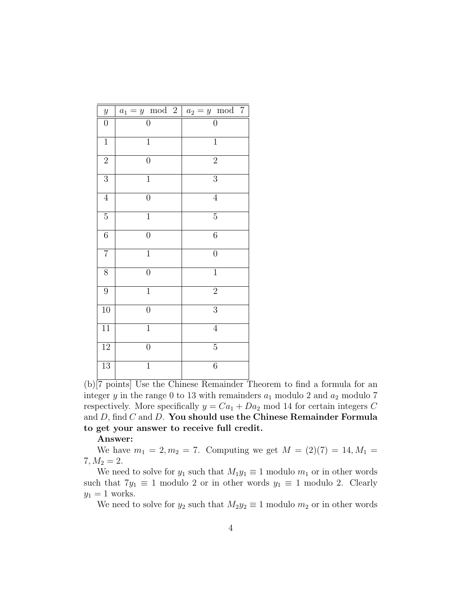| $\boldsymbol{y}$ | $a_1 = y \mod 2$ | $a_2 = y \mod 7$ |
|------------------|------------------|------------------|
| $\boldsymbol{0}$ | $\overline{0}$   | $\overline{0}$   |
| $\overline{1}$   | $\overline{1}$   | $\overline{1}$   |
| $\overline{2}$   | $\boldsymbol{0}$ | $\overline{2}$   |
| $\overline{3}$   | $\mathbf{1}$     | $\overline{3}$   |
| $\overline{4}$   | $\boldsymbol{0}$ | $\overline{4}$   |
| $\overline{5}$   | $\overline{1}$   | $\overline{5}$   |
| $\overline{6}$   | $\overline{0}$   | $\overline{6}$   |
| $\overline{7}$   | $\overline{1}$   | $\overline{0}$   |
| $\overline{8}$   | $\overline{0}$   | $\overline{1}$   |
| 9                | $\mathbf{1}$     | $\overline{2}$   |
| $\overline{10}$  | $\overline{0}$   | $\overline{3}$   |
| $\overline{11}$  | $\mathbf{1}$     | $\overline{4}$   |
| $\overline{12}$  | $\overline{0}$   | $\overline{5}$   |
| $\overline{13}$  | $\overline{1}$   | $\overline{6}$   |

(b)[7 points] Use the Chinese Remainder Theorem to find a formula for an integer y in the range 0 to 13 with remainders  $a_1$  modulo 2 and  $a_2$  modulo 7 respectively. More specifically  $y = Ca_1 + Da_2$  mod 14 for certain integers C and  $D$ , find  $C$  and  $D$ . You should use the Chinese Remainder Formula to get your answer to receive full credit.

## Answer:

We have  $m_1 = 2, m_2 = 7$ . Computing we get  $M = (2)(7) = 14, M_1 =$  $7, M_2 = 2.$ 

We need to solve for  $y_1$  such that  $M_1y_1 \equiv 1$  modulo  $m_1$  or in other words such that  $7y_1 \equiv 1$  modulo 2 or in other words  $y_1 \equiv 1$  modulo 2. Clearly  $y_1 = 1$  works.

We need to solve for  $y_2$  such that  $M_2y_2 \equiv 1$  modulo  $m_2$  or in other words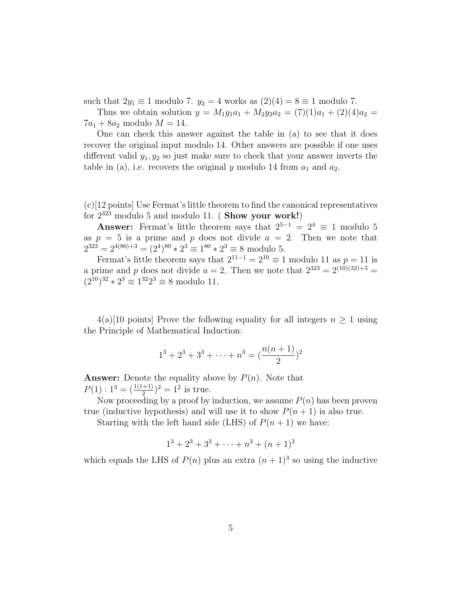such that  $2y_1 \equiv 1$  modulo 7.  $y_2 = 4$  works as  $(2)(4) = 8 \equiv 1$  modulo 7.

Thus we obtain solution  $y = M_1y_1a_1 + M_2y_2a_2 = (7)(1)a_1 + (2)(4)a_2 =$  $7a_1 + 8a_2$  modulo  $M = 14$ .

One can check this answer against the table in (a) to see that it does recover the original input modulo 14. Other answers are possible if one uses different valid  $y_1, y_2$  so just make sure to check that your answer inverts the table in (a), i.e. recovers the original y modulo 14 from  $a_1$  and  $a_2$ .

(c)[12 points] Use Fermat's little theorem to find the canonical representatives for  $2^{323}$  modulo 5 and modulo 11. (Show your work!)

**Answer:** Fermat's little theorem says that  $2^{5-1} = 2^4 \equiv 1$  modulo 5 as  $p = 5$  is a prime and p does not divide  $a = 2$ . Then we note that  $2^{323} = 2^{4(80)+3} = (2^4)^{80} * 2^3 \equiv 1^{80} * 2^3 \equiv 8 \text{ modulo } 5.$ 

Fermat's little theorem says that  $2^{11-1} = 2^{10} \equiv 1$  modulo 11 as  $p = 11$  is a prime and p does not divide  $a = 2$ . Then we note that  $2^{323} = 2^{(10)(32)+3}$  $(2^{10})^{32} \times 2^3 \equiv 1^{32} 2^3 \equiv 8$  modulo 11.

 $4(a)[10 \text{ points}]$  Prove the following equality for all integers  $n \geq 1$  using the Principle of Mathematical Induction:

$$
1^3 + 2^3 + 3^3 + \dots + n^3 = \left(\frac{n(n+1)}{2}\right)^2
$$

**Answer:** Denote the equality above by  $P(n)$ . Note that  $P(1): 1^3 = (\frac{1(1+1)}{2})^2 = 1^2$  is true.

Now proceeding by a proof by induction, we assume  $P(n)$  has been proven true (inductive hypothesis) and will use it to show  $P(n + 1)$  is also true.

Starting with the left hand side (LHS) of  $P(n + 1)$  we have:

$$
1^3 + 2^3 + 3^3 + \dots + n^3 + (n+1)^3
$$

which equals the LHS of  $P(n)$  plus an extra  $(n+1)^3$  so using the inductive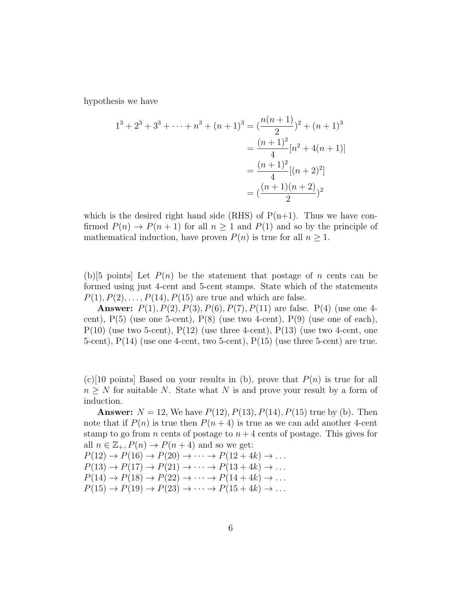hypothesis we have

$$
1^3 + 2^3 + 3^3 + \dots + n^3 + (n+1)^3 = \left(\frac{n(n+1)}{2}\right)^2 + (n+1)^3
$$

$$
= \frac{(n+1)^2}{4} [n^2 + 4(n+1)]
$$

$$
= \frac{(n+1)^2}{4} [(n+2)^2]
$$

$$
= \left(\frac{(n+1)(n+2)}{2}\right)^2
$$

which is the desired right hand side (RHS) of  $P(n+1)$ . Thus we have confirmed  $P(n) \to P(n+1)$  for all  $n \ge 1$  and  $P(1)$  and so by the principle of mathematical induction, have proven  $P(n)$  is true for all  $n \geq 1$ .

(b)[5 points] Let  $P(n)$  be the statement that postage of n cents can be formed using just 4-cent and 5-cent stamps. State which of the statements  $P(1), P(2), \ldots, P(14), P(15)$  are true and which are false.

**Answer:**  $P(1), P(2), P(3), P(6), P(7), P(11)$  are false. P(4) (use one 4cent),  $P(5)$  (use one 5-cent),  $P(8)$  (use two 4-cent),  $P(9)$  (use one of each),  $P(10)$  (use two 5-cent),  $P(12)$  (use three 4-cent),  $P(13)$  (use two 4-cent, one 5-cent),  $P(14)$  (use one 4-cent, two 5-cent),  $P(15)$  (use three 5-cent) are true.

 $(c)$ [10 points] Based on your results in (b), prove that  $P(n)$  is true for all  $n \geq N$  for suitable N. State what N is and prove your result by a form of induction.

**Answer:**  $N = 12$ , We have  $P(12)$ ,  $P(13)$ ,  $P(14)$ ,  $P(15)$  true by (b). Then note that if  $P(n)$  is true then  $P(n+4)$  is true as we can add another 4-cent stamp to go from n cents of postage to  $n+4$  cents of postage. This gives for all  $n \in \mathbb{Z}_+$ ,  $P(n) \to P(n+4)$  and so we get:

 $P(12) \rightarrow P(16) \rightarrow P(20) \rightarrow \cdots \rightarrow P(12+4k) \rightarrow \ldots$  $P(13) \rightarrow P(17) \rightarrow P(21) \rightarrow \cdots \rightarrow P(13+4k) \rightarrow \ldots$  $P(14) \rightarrow P(18) \rightarrow P(22) \rightarrow \cdots \rightarrow P(14+4k) \rightarrow \ldots$  $P(15) \rightarrow P(19) \rightarrow P(23) \rightarrow \cdots \rightarrow P(15+4k) \rightarrow \ldots$